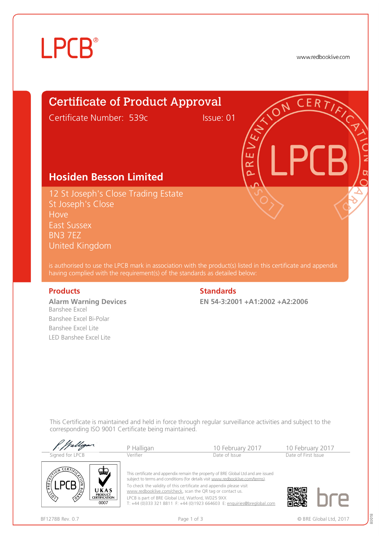# **LPCB**®

www.redbooklive.com

## Certificate of Product Approval

Certificate Number: 539c Issue: 01

## **Hosiden Besson Limited**

12 St Joseph's Close Trading Estate St Joseph's Close **Hove** East Sussex BN3 7EZ United Kingdom

is authorised to use the LPCB mark in association with the product(s) listed in this certificate and appendix having complied with the requirement(s) of the standards as detailed below:

**Alarm Warning Devices** Banshee Excel Banshee Excel Bi-Polar Banshee Excel Lite LED Banshee Excel Lite

### **Products Standards**

**EN 54-3:2001 +A1:2002 +A2:2006**

ய œ  $\overline{\mathbf{a}}$ 

This Certificate is maintained and held in force through regular surveillance activities and subject to the corresponding ISO 9001 Certificate being maintained.

| Signed for LPCB      |                              | P Halligan                                                                         | 10 February 2017                                                        |  | 10 February 2017    |  |
|----------------------|------------------------------|------------------------------------------------------------------------------------|-------------------------------------------------------------------------|--|---------------------|--|
|                      |                              | Verifier                                                                           | Date of Issue                                                           |  | Date of First Issue |  |
| <b>CERT</b>          |                              | This certificate and appendix remain the property of BRE Global Ltd and are issued |                                                                         |  |                     |  |
| ستعن                 |                              | subject to terms and conditions (for details visit www.redbooklive.com/terms).     |                                                                         |  |                     |  |
| /ని                  | UKAS<br><b>PRODUCT</b>       | www.redbooklive.com/check, scan the QR tag or contact us.                          | To check the validity of this certificate and appendix please visit     |  |                     |  |
| $\binom{6}{5}$<br>∕ॐ | <b>CERTIFICATION</b><br>0007 | LPCB is part of BRE Global Ltd, Watford, WD25 9XX                                  | T: +44 (0)333 321 8811 F: +44 (0)1923 664603 E: enquiries@breglobal.com |  |                     |  |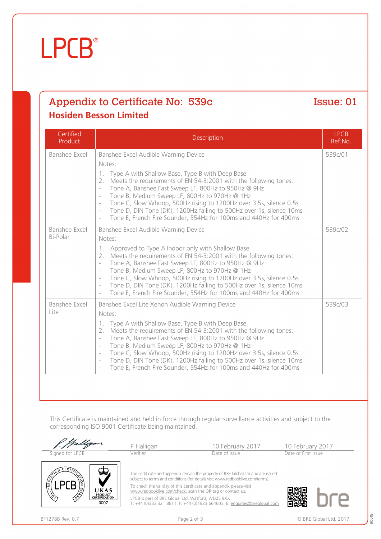### BF1278B Rev. 0.7 **Page 2 of 3** Page 2 of 3 © BRE Global Ltd, 2017



This Certificate is maintained and held in force through regular surveillance activities and subject to the

corresponding ISO 9001 Certificate being maintained.

### - Tone A, Banshee Fast Sweep LF, 800Hz to 950Hz @ 9Hz Tone B, Medium Sweep LF, 800Hz to 970Hz @ 1Hz - Tone C, Slow Whoop, 500Hz rising to 1200Hz over 3.5s, silence 0.5s Tone D, DIN Tone (DK), 1200Hz falling to 500Hz over 1s, silence 10ms - Tone E, French Fire Sounder, 554Hz for 100ms and 440Hz for 400ms Banshee Excel Bi-Polar Banshee Excel Audible Warning Device Notes: 1. Approved to Type A Indoor only with Shallow Base 2. Meets the requirements of EN 54-3:2001 with the following tones: - Tone A, Banshee Fast Sweep LF, 800Hz to 950Hz @ 9Hz - Tone B, Medium Sweep LF, 800Hz to 970Hz @ 1Hz - Tone C, Slow Whoop, 500Hz rising to 1200Hz over 3.5s, silence 0.5s Tone D, DIN Tone (DK), 1200Hz falling to 500Hz over 1s, silence 10ms

Banshee Excel Lite Xenon Audible Warning Device

1. Type A with Shallow Base, Type B with Deep Base

- Tone B, Medium Sweep LF, 800Hz to 970Hz @ 1Hz

| <b>siden Besson Limited</b> |                    |                       |  |  |  |
|-----------------------------|--------------------|-----------------------|--|--|--|
| Certified<br>Product        | <b>Description</b> | <b>LPCB</b><br>Ref.No |  |  |  |

1. Type A with Shallow Base, Type B with Deep Base

Banshee Excel | Banshee Excel Audible Warning Device

Notes:

Notes:

Appendix to Certificate No: 539c Issue: 01

2. Meets the requirements of EN 54-3:2001 with the following tones:

Tone E, French Fire Sounder, 554Hz for 100ms and 440Hz for 400ms

2. Meets the requirements of EN 54-3:2001 with the following tones:

- Tone C, Slow Whoop, 500Hz rising to 1200Hz over 3.5s, silence 0.5s - Tone D, DIN Tone (DK), 1200Hz falling to 500Hz over 1s, silence 10ms Tone E, French Fire Sounder, 554Hz for 100ms and 440Hz for 400ms

Tone A, Banshee Fast Sweep LF, 800Hz to 950Hz @ 9Hz

# **LPCB**

**Hosiden** 

Certified

Banshee Excel

Lite

## Ref.No. 539c/01

539c/02

539c/03